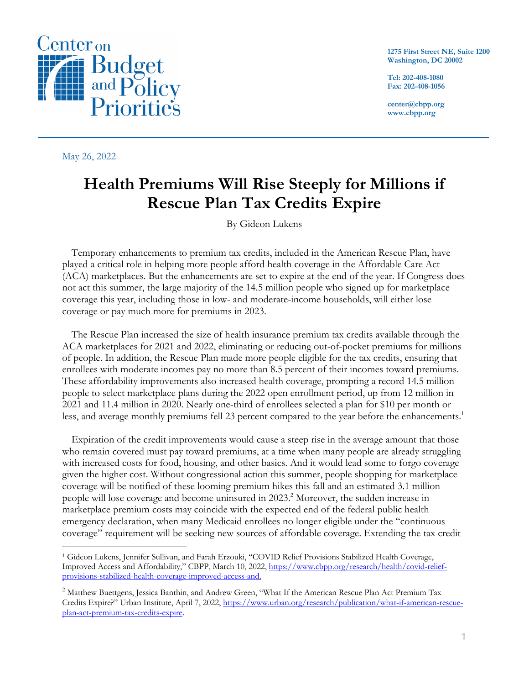

May 26, 2022

**1275 First Street NE, Suite 1200 Washington, DC 20002**

**Tel: 202-408-1080 Fax: 202-408-1056**

**center@cbpp.org www.cbpp.org**

# **Health Premiums Will Rise Steeply for Millions if Rescue Plan Tax Credits Expire**

By Gideon Lukens

Temporary enhancements to premium tax credits, included in the American Rescue Plan, have played a critical role in helping more people afford health coverage in the Affordable Care Act (ACA) marketplaces. But the enhancements are set to expire at the end of the year. If Congress does not act this summer, the large majority of the 14.5 million people who signed up for marketplace coverage this year, including those in low- and moderate-income households, will either lose coverage or pay much more for premiums in 2023.

The Rescue Plan increased the size of health insurance premium tax credits available through the ACA marketplaces for 2021 and 2022, eliminating or reducing out-of-pocket premiums for millions of people. In addition, the Rescue Plan made more people eligible for the tax credits, ensuring that enrollees with moderate incomes pay no more than 8.5 percent of their incomes toward premiums. These affordability improvements also increased health coverage, prompting a record 14.5 million people to select marketplace plans during the 2022 open enrollment period, up from 12 million in 2021 and 11.4 million in 2020. Nearly one-third of enrollees selected a plan for \$10 per month or less, and average monthly premiums fell 23 percent compared to the year before the enhancements. 1

Expiration of the credit improvements would cause a steep rise in the average amount that those who remain covered must pay toward premiums, at a time when many people are already struggling with increased costs for food, housing, and other basics. And it would lead some to forgo coverage given the higher cost. Without congressional action this summer, people shopping for marketplace coverage will be notified of these looming premium hikes this fall and an estimated 3.1 million people will lose coverage and become uninsured in 2023.<sup>2</sup> Moreover, the sudden increase in marketplace premium costs may coincide with the expected end of the federal public health emergency declaration, when many Medicaid enrollees no longer eligible under the "continuous coverage" requirement will be seeking new sources of affordable coverage. Extending the tax credit

<sup>1</sup> Gideon Lukens, Jennifer Sullivan, and Farah Erzouki, "COVID Relief Provisions Stabilized Health Coverage, Improved Access and Affordability," CBPP, March 10, 2022, https://www.cbpp.org/research/health/covid-reliefprovisions-stabilized-health-coverage-improved-access-and.

<sup>&</sup>lt;sup>2</sup> Matthew Buettgens, Jessica Banthin, and Andrew Green, "What If the American Rescue Plan Act Premium Tax Credits Expire?" Urban Institute, April 7, 2022, https://www.urban.org/research/publication/what-if-american-rescueplan-act-premium-tax-credits-expire.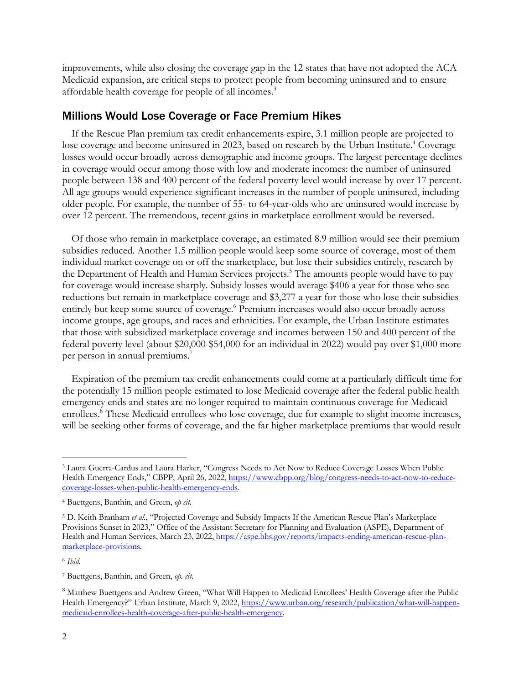improvements, while also closing the coverage gap in the 12 states that have not adopted the ACA Medicaid expansion, are critical steps to protect people from becoming uninsured and to ensure affordable health coverage for people of all incomes. 3

#### Millions Would Lose Coverage or Face Premium Hikes

If the Rescue Plan premium tax credit enhancements expire, 3.1 million people are projected to lose coverage and become uninsured in 2023, based on research by the Urban Institute.<sup>4</sup> Coverage losses would occur broadly across demographic and income groups. The largest percentage declines in coverage would occur among those with low and moderate incomes: the number of uninsured people between 138 and 400 percent of the federal poverty level would increase by over 17 percent. All age groups would experience significant increases in the number of people uninsured, including older people. For example, the number of 55- to 64-year-olds who are uninsured would increase by over 12 percent. The tremendous, recent gains in marketplace enrollment would be reversed.

Of those who remain in marketplace coverage, an estimated 8.9 million would see their premium subsidies reduced. Another 1.5 million people would keep some source of coverage, most of them individual market coverage on or off the marketplace, but lose their subsidies entirely, research by the Department of Health and Human Services projects. <sup>5</sup> The amounts people would have to pay for coverage would increase sharply. Subsidy losses would average \$406 a year for those who see reductions but remain in marketplace coverage and \$3,277 a year for those who lose their subsidies entirely but keep some source of coverage. <sup>6</sup> Premium increases would also occur broadly across income groups, age groups, and races and ethnicities. For example, the Urban Institute estimates that those with subsidized marketplace coverage and incomes between 150 and 400 percent of the federal poverty level (about \$20,000-\$54,000 for an individual in 2022) would pay over \$1,000 more per person in annual premiums.<sup>7</sup>

Expiration of the premium tax credit enhancements could come at a particularly difficult time for the potentially 15 million people estimated to lose Medicaid coverage after the federal public health emergency ends and states are no longer required to maintain continuous coverage for Medicaid enrollees.<sup>8</sup> These Medicaid enrollees who lose coverage, due for example to slight income increases, will be seeking other forms of coverage, and the far higher marketplace premiums that would result

<sup>3</sup> Laura Guerra-Cardus and Laura Harker, "Congress Needs to Act Now to Reduce Coverage Losses When Public Health Emergency Ends," CBPP, April 26, 2022, https://www.cbpp.org/blog/congress-needs-to-act-now-to-reducecoverage-losses-when-public-health-emergency-ends.

<sup>4</sup> Buettgens, Banthin, and Green, *op cit*.

<sup>5</sup> D. Keith Branham *et al.*, "Projected Coverage and Subsidy Impacts If the American Rescue Plan's Marketplace Provisions Sunset in 2023," Office of the Assistant Secretary for Planning and Evaluation (ASPE), Department of Health and Human Services, March 23, 2022, https://aspe.hhs.gov/reports/impacts-ending-american-rescue-planmarketplace-provisions.

<sup>6</sup> *Ibid.*

<sup>7</sup> Buettgens, Banthin, and Green, *op. cit*.

<sup>8</sup> Matthew Buettgens and Andrew Green, "What Will Happen to Medicaid Enrollees' Health Coverage after the Public Health Emergency?" Urban Institute, March 9, 2022, https://www.urban.org/research/publication/what-will-happenmedicaid-enrollees-health-coverage-after-public-health-emergency.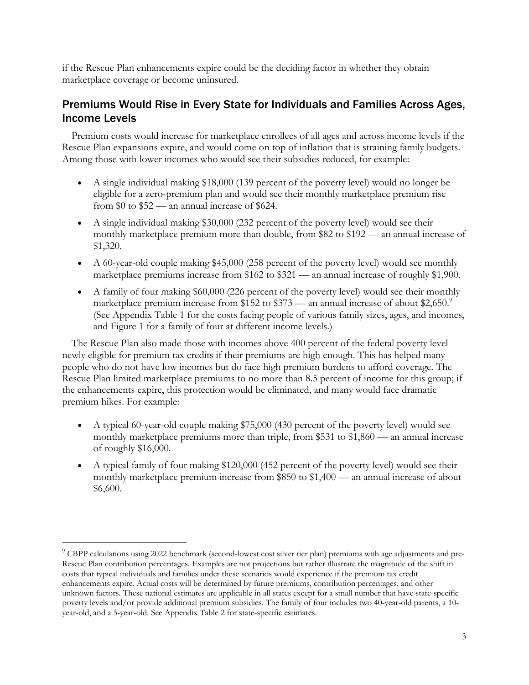if the Rescue Plan enhancements expire could be the deciding factor in whether they obtain marketplace coverage or become uninsured.

## Premiums Would Rise in Every State for Individuals and Families Across Ages, Income Levels

Premium costs would increase for marketplace enrollees of all ages and across income levels if the Rescue Plan expansions expire, and would come on top of inflation that is straining family budgets. Among those with lower incomes who would see their subsidies reduced, for example:

- A single individual making \$18,000 (139 percent of the poverty level) would no longer be eligible for a zero-premium plan and would see their monthly marketplace premium rise from \$0 to \$52 — an annual increase of \$624.
- A single individual making \$30,000 (232 percent of the poverty level) would see their monthly marketplace premium more than double, from \$82 to \$192 — an annual increase of \$1,320.
- A 60-year-old couple making \$45,000 (258 percent of the poverty level) would see monthly marketplace premiums increase from \$162 to \$321 — an annual increase of roughly \$1,900.
- A family of four making \$60,000 (226 percent of the poverty level) would see their monthly marketplace premium increase from \$152 to \$373 — an annual increase of about \$2,650. (See Appendix Table 1 for the costs facing people of various family sizes, ages, and incomes, and Figure 1 for a family of four at different income levels.)

The Rescue Plan also made those with incomes above 400 percent of the federal poverty level newly eligible for premium tax credits if their premiums are high enough. This has helped many people who do not have low incomes but do face high premium burdens to afford coverage. The Rescue Plan limited marketplace premiums to no more than 8.5 percent of income for this group; if the enhancements expire, this protection would be eliminated, and many would face dramatic premium hikes. For example:

- A typical 60-year-old couple making \$75,000 (430 percent of the poverty level) would see monthly marketplace premiums more than triple, from \$531 to \$1,860 — an annual increase of roughly \$16,000.
- A typical family of four making \$120,000 (452 percent of the poverty level) would see their monthly marketplace premium increase from \$850 to \$1,400 — an annual increase of about \$6,600.

<sup>&</sup>lt;sup>9</sup> CBPP calculations using 2022 benchmark (second-lowest cost silver tier plan) premiums with age adjustments and pre-Rescue Plan contribution percentages. Examples are not projections but rather illustrate the magnitude of the shift in costs that typical individuals and families under these scenarios would experience if the premium tax credit enhancements expire. Actual costs will be determined by future premiums, contribution percentages, and other unknown factors. These national estimates are applicable in all states except for a small number that have state-specific poverty levels and/or provide additional premium subsidies. The family of four includes two 40-year-old parents, a 10 year-old, and a 5-year-old. See Appendix Table 2 for state-specific estimates.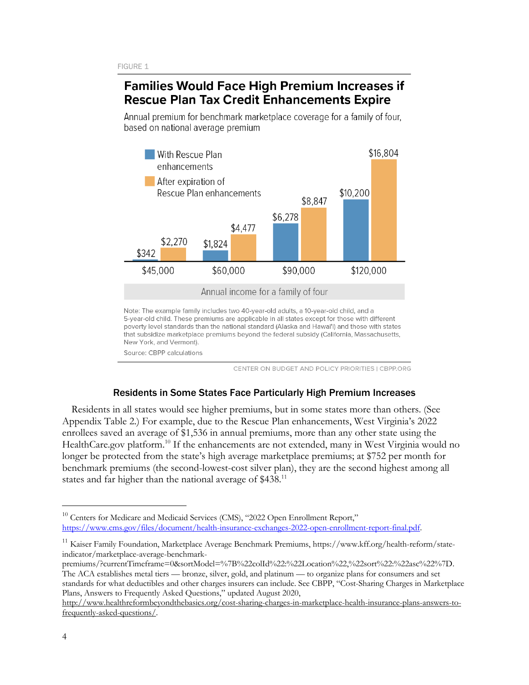# **Families Would Face High Premium Increases if Rescue Plan Tax Credit Enhancements Expire**

Annual premium for benchmark marketplace coverage for a family of four, based on national average premium



Source: CBPP calculations

CENTER ON BUDGET AND POLICY PRIORITIES I CBPP.ORG

#### Residents in Some States Face Particularly High Premium Increases

Residents in all states would see higher premiums, but in some states more than others. (See Appendix Table 2.) For example, due to the Rescue Plan enhancements, West Virginia's 2022 enrollees saved an average of \$1,536 in annual premiums, more than any other state using the HealthCare.gov platform.<sup>10</sup> If the enhancements are not extended, many in West Virginia would no longer be protected from the state's high average marketplace premiums; at \$752 per month for benchmark premiums (the second-lowest-cost silver plan), they are the second highest among all states and far higher than the national average of \$438.<sup>11</sup>

premiums/?currentTimeframe=0&sortModel=%7B%22colId%22:%22Location%22,%22sort%22:%22asc%22%7D. The ACA establishes metal tiers — bronze, silver, gold, and platinum — to organize plans for consumers and set standards for what deductibles and other charges insurers can include. See CBPP, "Cost-Sharing Charges in Marketplace Plans, Answers to Frequently Asked Questions," updated August 2020,

<sup>&</sup>lt;sup>10</sup> Centers for Medicare and Medicaid Services (CMS), "2022 Open Enrollment Report," https://www.cms.gov/files/document/health-insurance-exchanges-2022-open-enrollment-report-final.pdf.

<sup>&</sup>lt;sup>11</sup> Kaiser Family Foundation, Marketplace Average Benchmark Premiums, https://www.kff.org/health-reform/stateindicator/marketplace-average-benchmark-

http://www.healthreformbeyondthebasics.org/cost-sharing-charges-in-marketplace-health-insurance-plans-answers-tofrequently-asked-questions/.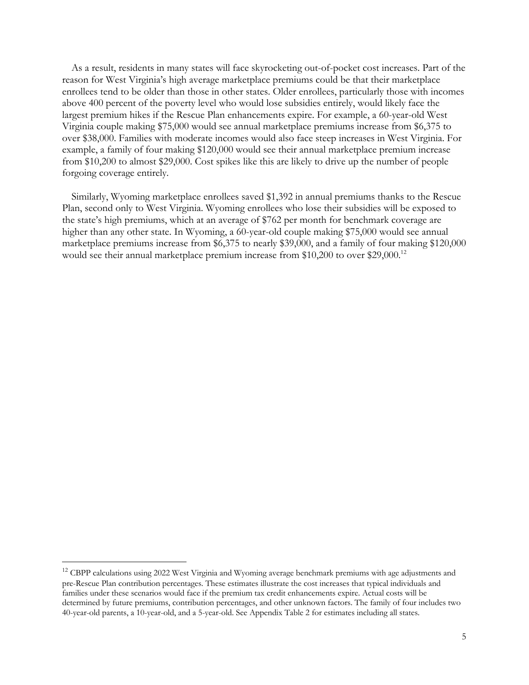As a result, residents in many states will face skyrocketing out-of-pocket cost increases. Part of the reason for West Virginia's high average marketplace premiums could be that their marketplace enrollees tend to be older than those in other states. Older enrollees, particularly those with incomes above 400 percent of the poverty level who would lose subsidies entirely, would likely face the largest premium hikes if the Rescue Plan enhancements expire. For example, a 60-year-old West Virginia couple making \$75,000 would see annual marketplace premiums increase from \$6,375 to over \$38,000. Families with moderate incomes would also face steep increases in West Virginia. For example, a family of four making \$120,000 would see their annual marketplace premium increase from \$10,200 to almost \$29,000. Cost spikes like this are likely to drive up the number of people forgoing coverage entirely.

Similarly, Wyoming marketplace enrollees saved \$1,392 in annual premiums thanks to the Rescue Plan, second only to West Virginia. Wyoming enrollees who lose their subsidies will be exposed to the state's high premiums, which at an average of \$762 per month for benchmark coverage are higher than any other state. In Wyoming, a 60-year-old couple making \$75,000 would see annual marketplace premiums increase from \$6,375 to nearly \$39,000, and a family of four making \$120,000 would see their annual marketplace premium increase from \$10,200 to over \$29,000.<sup>12</sup>

<sup>&</sup>lt;sup>12</sup> CBPP calculations using 2022 West Virginia and Wyoming average benchmark premiums with age adjustments and pre-Rescue Plan contribution percentages. These estimates illustrate the cost increases that typical individuals and families under these scenarios would face if the premium tax credit enhancements expire. Actual costs will be determined by future premiums, contribution percentages, and other unknown factors. The family of four includes two 40-year-old parents, a 10-year-old, and a 5-year-old. See Appendix Table 2 for estimates including all states.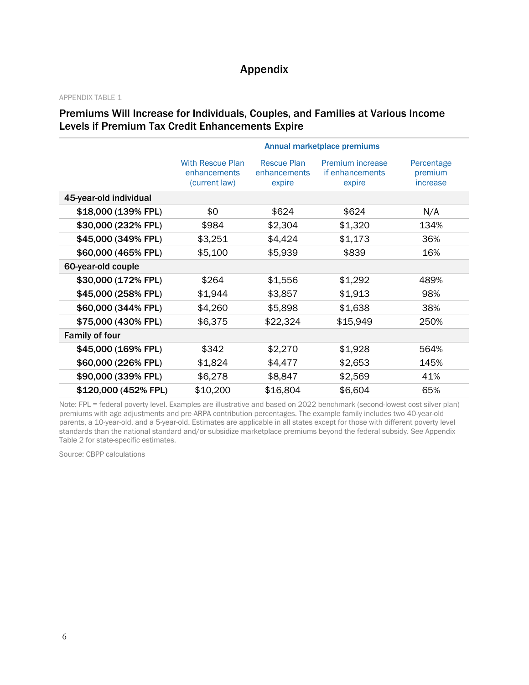# Appendix

#### APPENDIX TABLE 1

### Premiums Will Increase for Individuals, Couples, and Families at Various Income Levels if Premium Tax Credit Enhancements Expire

|                        | Annual marketplace premiums                              |                                              |                                               |                                   |  |  |  |  |
|------------------------|----------------------------------------------------------|----------------------------------------------|-----------------------------------------------|-----------------------------------|--|--|--|--|
|                        | <b>With Rescue Plan</b><br>enhancements<br>(current law) | <b>Rescue Plan</b><br>enhancements<br>expire | Premium increase<br>if enhancements<br>expire | Percentage<br>premium<br>increase |  |  |  |  |
| 45-year-old individual |                                                          |                                              |                                               |                                   |  |  |  |  |
| \$18,000 (139% FPL)    | \$0                                                      | \$624                                        | \$624                                         | N/A                               |  |  |  |  |
| \$30,000 (232% FPL)    | \$984                                                    | \$2,304                                      | \$1,320                                       | 134%                              |  |  |  |  |
| \$45,000 (349% FPL)    | \$3,251                                                  | \$4,424                                      | \$1,173                                       | 36%                               |  |  |  |  |
| \$60,000 (465% FPL)    | \$5,100                                                  | \$5,939                                      | \$839                                         | 16%                               |  |  |  |  |
| 60-year-old couple     |                                                          |                                              |                                               |                                   |  |  |  |  |
| \$30,000 (172% FPL)    | \$264                                                    | \$1,556                                      | \$1,292                                       | 489%                              |  |  |  |  |
| \$45,000 (258% FPL)    | \$1,944                                                  | \$3,857                                      | \$1,913                                       | 98%                               |  |  |  |  |
| \$60,000 (344% FPL)    | \$4,260                                                  | \$5,898                                      | \$1,638                                       | 38%                               |  |  |  |  |
| \$75,000 (430% FPL)    | \$6,375                                                  | \$22,324                                     | \$15,949                                      | 250%                              |  |  |  |  |
| <b>Family of four</b>  |                                                          |                                              |                                               |                                   |  |  |  |  |
| \$45,000 (169% FPL)    | \$342                                                    | \$2,270                                      | \$1,928                                       | 564%                              |  |  |  |  |
| \$60,000 (226% FPL)    | \$1,824                                                  | \$4,477                                      | \$2,653                                       | 145%                              |  |  |  |  |
| \$90,000 (339% FPL)    | \$6,278                                                  | \$8,847                                      | \$2,569                                       | 41%                               |  |  |  |  |
| \$120,000 (452% FPL)   | \$10,200                                                 | \$16,804                                     | \$6,604                                       | 65%                               |  |  |  |  |

Note: FPL = federal poverty level. Examples are illustrative and based on 2022 benchmark (second-lowest cost silver plan) premiums with age adjustments and pre-ARPA contribution percentages. The example family includes two 40-year-old parents, a 10-year-old, and a 5-year-old. Estimates are applicable in all states except for those with different poverty level standards than the national standard and/or subsidize marketplace premiums beyond the federal subsidy. See Appendix Table 2 for state-specific estimates.

Source: CBPP calculations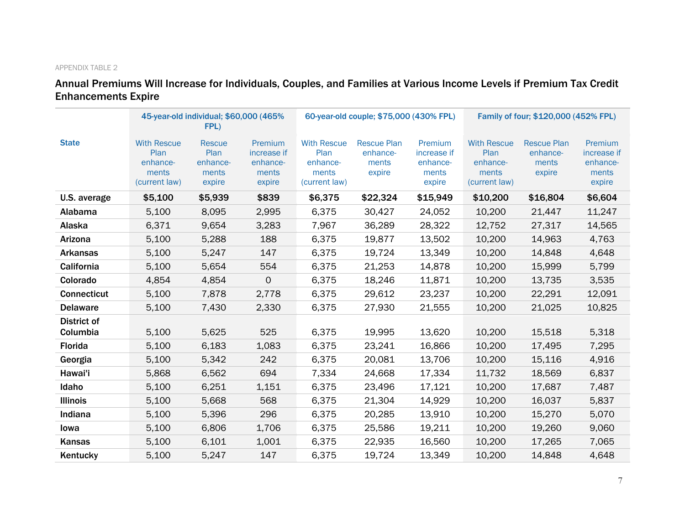#### APPENDIX TABLE 2

# Annual Premiums Will Increase for Individuals, Couples, and Families at Various Income Levels if Premium Tax Credit Enhancements Expire

|                         | 45-year-old individual; \$60,000 (465%<br>FPL)                   |                                                      |                                                       |                                                                  | 60-year-old couple; \$75,000 (430% FPL)           |                                                       |                                                                  | Family of four; \$120,000 (452% FPL)              |                                                       |  |
|-------------------------|------------------------------------------------------------------|------------------------------------------------------|-------------------------------------------------------|------------------------------------------------------------------|---------------------------------------------------|-------------------------------------------------------|------------------------------------------------------------------|---------------------------------------------------|-------------------------------------------------------|--|
| <b>State</b>            | <b>With Rescue</b><br>Plan<br>enhance-<br>ments<br>(current law) | <b>Rescue</b><br>Plan<br>enhance-<br>ments<br>expire | Premium<br>increase if<br>enhance-<br>ments<br>expire | <b>With Rescue</b><br>Plan<br>enhance-<br>ments<br>(current law) | <b>Rescue Plan</b><br>enhance-<br>ments<br>expire | Premium<br>increase if<br>enhance-<br>ments<br>expire | <b>With Rescue</b><br>Plan<br>enhance-<br>ments<br>(current law) | <b>Rescue Plan</b><br>enhance-<br>ments<br>expire | Premium<br>increase if<br>enhance-<br>ments<br>expire |  |
| U.S. average            | \$5,100                                                          | \$5,939                                              | \$839                                                 | \$6,375                                                          | \$22,324                                          | \$15,949                                              | \$10,200                                                         | \$16,804                                          | \$6,604                                               |  |
| Alabama                 | 5,100                                                            | 8,095                                                | 2,995                                                 | 6,375                                                            | 30,427                                            | 24,052                                                | 10,200                                                           | 21,447                                            | 11,247                                                |  |
| Alaska                  | 6,371                                                            | 9,654                                                | 3,283                                                 | 7,967                                                            | 36,289                                            | 28,322                                                | 12,752                                                           | 27,317                                            | 14,565                                                |  |
| Arizona                 | 5,100                                                            | 5,288                                                | 188                                                   | 6,375                                                            | 19,877                                            | 13,502                                                | 10,200                                                           | 14,963                                            | 4,763                                                 |  |
| <b>Arkansas</b>         | 5,100                                                            | 5,247                                                | 147                                                   | 6,375                                                            | 19,724                                            | 13,349                                                | 10,200                                                           | 14,848                                            | 4,648                                                 |  |
| California              | 5,100                                                            | 5,654                                                | 554                                                   | 6,375                                                            | 21,253                                            | 14,878                                                | 10,200                                                           | 15,999                                            | 5,799                                                 |  |
| Colorado                | 4,854                                                            | 4,854                                                | $\mathbf 0$                                           | 6,375                                                            | 18,246                                            | 11,871                                                | 10,200                                                           | 13,735                                            | 3,535                                                 |  |
| <b>Connecticut</b>      | 5,100                                                            | 7,878                                                | 2,778                                                 | 6,375                                                            | 29,612                                            | 23,237                                                | 10,200                                                           | 22,291                                            | 12,091                                                |  |
| <b>Delaware</b>         | 5,100                                                            | 7,430                                                | 2,330                                                 | 6,375                                                            | 27,930                                            | 21,555                                                | 10,200                                                           | 21,025                                            | 10,825                                                |  |
| District of<br>Columbia | 5,100                                                            | 5,625                                                | 525                                                   | 6,375                                                            | 19,995                                            | 13,620                                                | 10,200                                                           | 15,518                                            | 5,318                                                 |  |
| Florida                 | 5,100                                                            | 6,183                                                | 1,083                                                 | 6,375                                                            | 23,241                                            | 16,866                                                | 10,200                                                           | 17,495                                            | 7,295                                                 |  |
| Georgia                 | 5,100                                                            | 5,342                                                | 242                                                   | 6,375                                                            | 20,081                                            | 13,706                                                | 10,200                                                           | 15,116                                            | 4,916                                                 |  |
| Hawai'i                 | 5,868                                                            | 6,562                                                | 694                                                   | 7,334                                                            | 24,668                                            | 17,334                                                | 11,732                                                           | 18,569                                            | 6,837                                                 |  |
| Idaho                   | 5,100                                                            | 6,251                                                | 1,151                                                 | 6,375                                                            | 23,496                                            | 17,121                                                | 10,200                                                           | 17,687                                            | 7,487                                                 |  |
| <b>Illinois</b>         | 5,100                                                            | 5,668                                                | 568                                                   | 6,375                                                            | 21,304                                            | 14,929                                                | 10,200                                                           | 16,037                                            | 5,837                                                 |  |
| Indiana                 | 5,100                                                            | 5,396                                                | 296                                                   | 6,375                                                            | 20,285                                            | 13,910                                                | 10,200                                                           | 15,270                                            | 5,070                                                 |  |
| lowa                    | 5,100                                                            | 6,806                                                | 1,706                                                 | 6,375                                                            | 25,586                                            | 19,211                                                | 10,200                                                           | 19,260                                            | 9,060                                                 |  |
| Kansas                  | 5,100                                                            | 6,101                                                | 1,001                                                 | 6,375                                                            | 22,935                                            | 16,560                                                | 10,200                                                           | 17,265                                            | 7,065                                                 |  |
| Kentucky                | 5,100                                                            | 5,247                                                | 147                                                   | 6,375                                                            | 19,724                                            | 13,349                                                | 10,200                                                           | 14,848                                            | 4,648                                                 |  |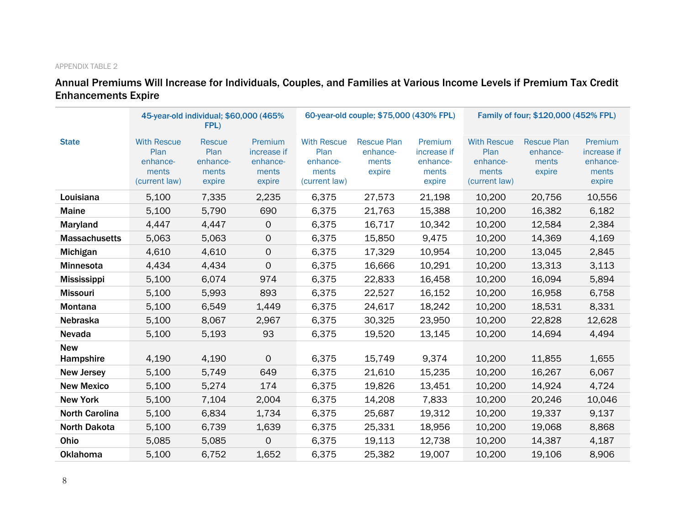#### APPENDIX TABLE 2

## Annual Premiums Will Increase for Individuals, Couples, and Families at Various Income Levels if Premium Tax Credit Enhancements Expire

|                         |                                                                  | 45-year-old individual; \$60,000 (465%)<br>FPL)      |                                                       |                                                                  | 60-year-old couple; \$75,000 (430% FPL)           |                                                       |                                                                  | Family of four; \$120,000 (452% FPL)              |                                                       |  |
|-------------------------|------------------------------------------------------------------|------------------------------------------------------|-------------------------------------------------------|------------------------------------------------------------------|---------------------------------------------------|-------------------------------------------------------|------------------------------------------------------------------|---------------------------------------------------|-------------------------------------------------------|--|
| <b>State</b>            | <b>With Rescue</b><br>Plan<br>enhance-<br>ments<br>(current law) | <b>Rescue</b><br>Plan<br>enhance-<br>ments<br>expire | Premium<br>increase if<br>enhance-<br>ments<br>expire | <b>With Rescue</b><br>Plan<br>enhance-<br>ments<br>(current law) | <b>Rescue Plan</b><br>enhance-<br>ments<br>expire | Premium<br>increase if<br>enhance-<br>ments<br>expire | <b>With Rescue</b><br>Plan<br>enhance-<br>ments<br>(current law) | <b>Rescue Plan</b><br>enhance-<br>ments<br>expire | Premium<br>increase if<br>enhance-<br>ments<br>expire |  |
| Louisiana               | 5,100                                                            | 7,335                                                | 2,235                                                 | 6,375                                                            | 27,573                                            | 21,198                                                | 10,200                                                           | 20,756                                            | 10,556                                                |  |
| <b>Maine</b>            | 5,100                                                            | 5,790                                                | 690                                                   | 6,375                                                            | 21,763                                            | 15,388                                                | 10,200                                                           | 16,382                                            | 6,182                                                 |  |
| Maryland                | 4,447                                                            | 4,447                                                | $\mathsf{O}\xspace$                                   | 6,375                                                            | 16,717                                            | 10,342                                                | 10,200                                                           | 12,584                                            | 2,384                                                 |  |
| <b>Massachusetts</b>    | 5,063                                                            | 5,063                                                | $\mathbf 0$                                           | 6,375                                                            | 15,850                                            | 9,475                                                 | 10,200                                                           | 14,369                                            | 4,169                                                 |  |
| Michigan                | 4,610                                                            | 4,610                                                | $\mathsf{O}$                                          | 6,375                                                            | 17,329                                            | 10,954                                                | 10,200                                                           | 13,045                                            | 2,845                                                 |  |
| Minnesota               | 4,434                                                            | 4,434                                                | $\Omega$                                              | 6,375                                                            | 16,666                                            | 10,291                                                | 10,200                                                           | 13,313                                            | 3,113                                                 |  |
| <b>Mississippi</b>      | 5,100                                                            | 6,074                                                | 974                                                   | 6,375                                                            | 22,833                                            | 16,458                                                | 10,200                                                           | 16,094                                            | 5,894                                                 |  |
| <b>Missouri</b>         | 5,100                                                            | 5,993                                                | 893                                                   | 6,375                                                            | 22,527                                            | 16,152                                                | 10,200                                                           | 16,958                                            | 6,758                                                 |  |
| <b>Montana</b>          | 5,100                                                            | 6,549                                                | 1,449                                                 | 6,375                                                            | 24,617                                            | 18,242                                                | 10,200                                                           | 18,531                                            | 8,331                                                 |  |
| Nebraska                | 5,100                                                            | 8,067                                                | 2,967                                                 | 6,375                                                            | 30,325                                            | 23,950                                                | 10,200                                                           | 22,828                                            | 12,628                                                |  |
| Nevada                  | 5,100                                                            | 5,193                                                | 93                                                    | 6,375                                                            | 19,520                                            | 13,145                                                | 10,200                                                           | 14,694                                            | 4,494                                                 |  |
| <b>New</b><br>Hampshire | 4,190                                                            | 4,190                                                | $\Omega$                                              | 6,375                                                            | 15,749                                            | 9,374                                                 | 10,200                                                           | 11,855                                            | 1,655                                                 |  |
| <b>New Jersey</b>       | 5,100                                                            | 5,749                                                | 649                                                   | 6,375                                                            | 21,610                                            | 15,235                                                | 10,200                                                           | 16,267                                            | 6,067                                                 |  |
| <b>New Mexico</b>       | 5,100                                                            | 5,274                                                | 174                                                   | 6,375                                                            | 19,826                                            | 13,451                                                | 10,200                                                           | 14,924                                            | 4,724                                                 |  |
| <b>New York</b>         | 5,100                                                            | 7,104                                                | 2,004                                                 | 6,375                                                            | 14,208                                            | 7,833                                                 | 10,200                                                           | 20,246                                            | 10,046                                                |  |
| <b>North Carolina</b>   | 5,100                                                            | 6,834                                                | 1,734                                                 | 6,375                                                            | 25,687                                            | 19,312                                                | 10,200                                                           | 19,337                                            | 9,137                                                 |  |
| <b>North Dakota</b>     | 5,100                                                            | 6,739                                                | 1,639                                                 | 6,375                                                            | 25,331                                            | 18,956                                                | 10,200                                                           | 19,068                                            | 8,868                                                 |  |
| Ohio                    | 5,085                                                            | 5,085                                                | $\mathbf 0$                                           | 6,375                                                            | 19,113                                            | 12,738                                                | 10,200                                                           | 14,387                                            | 4,187                                                 |  |
| <b>Oklahoma</b>         | 5,100                                                            | 6,752                                                | 1,652                                                 | 6,375                                                            | 25,382                                            | 19,007                                                | 10,200                                                           | 19,106                                            | 8,906                                                 |  |